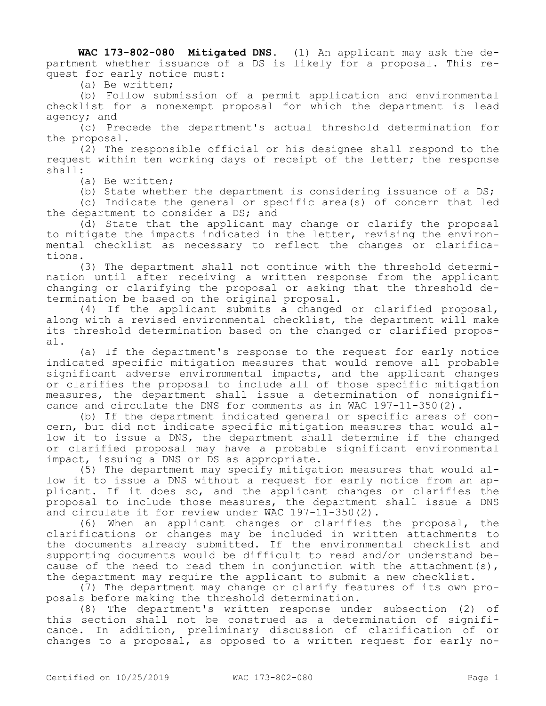**WAC 173-802-080 Mitigated DNS.** (1) An applicant may ask the department whether issuance of a DS is likely for a proposal. This request for early notice must:

(a) Be written;

(b) Follow submission of a permit application and environmental checklist for a nonexempt proposal for which the department is lead agency; and

(c) Precede the department's actual threshold determination for the proposal.

(2) The responsible official or his designee shall respond to the request within ten working days of receipt of the letter; the response shall:

(a) Be written;

(b) State whether the department is considering issuance of a DS;

(c) Indicate the general or specific area(s) of concern that led the department to consider a DS; and

(d) State that the applicant may change or clarify the proposal to mitigate the impacts indicated in the letter, revising the environmental checklist as necessary to reflect the changes or clarifications.

(3) The department shall not continue with the threshold determination until after receiving a written response from the applicant changing or clarifying the proposal or asking that the threshold determination be based on the original proposal.

(4) If the applicant submits a changed or clarified proposal, along with a revised environmental checklist, the department will make its threshold determination based on the changed or clarified proposal.

(a) If the department's response to the request for early notice indicated specific mitigation measures that would remove all probable significant adverse environmental impacts, and the applicant changes or clarifies the proposal to include all of those specific mitigation measures, the department shall issue a determination of nonsignificance and circulate the DNS for comments as in WAC 197-11-350(2).

(b) If the department indicated general or specific areas of concern, but did not indicate specific mitigation measures that would allow it to issue a DNS, the department shall determine if the changed or clarified proposal may have a probable significant environmental impact, issuing a DNS or DS as appropriate.

(5) The department may specify mitigation measures that would allow it to issue a DNS without a request for early notice from an applicant. If it does so, and the applicant changes or clarifies the proposal to include those measures, the department shall issue a DNS and circulate it for review under WAC 197-11-350(2).

(6) When an applicant changes or clarifies the proposal, the clarifications or changes may be included in written attachments to the documents already submitted. If the environmental checklist and supporting documents would be difficult to read and/or understand because of the need to read them in conjunction with the attachment(s), the department may require the applicant to submit a new checklist.

(7) The department may change or clarify features of its own proposals before making the threshold determination.

(8) The department's written response under subsection (2) of this section shall not be construed as a determination of significance. In addition, preliminary discussion of clarification of or changes to a proposal, as opposed to a written request for early no